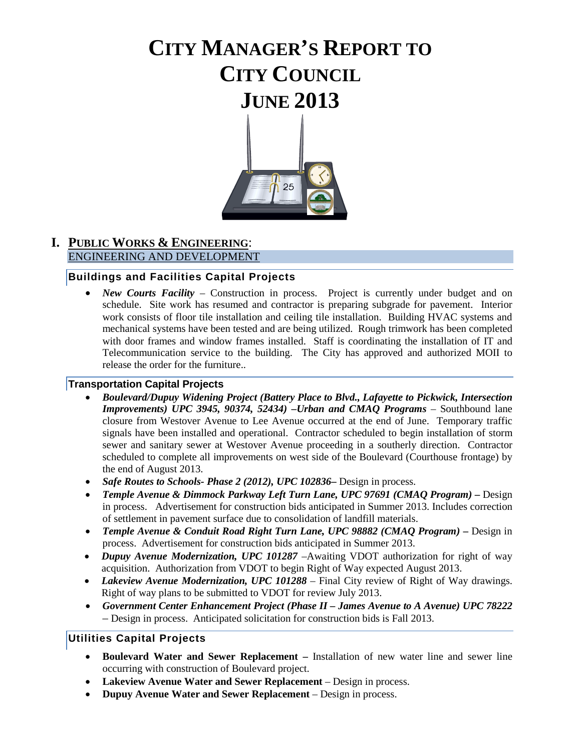# **CITY MANAGER'S REPORT TO CITY COUNCIL JUNE 2013**



#### **I. PUBLIC WORKS & ENGINEERING**: ENGINEERING AND DEVELOPMENT

#### **Buildings and Facilities Capital Projects**

• *New Courts Facility* – Construction in process. Project is currently under budget and on schedule. Site work has resumed and contractor is preparing subgrade for pavement. Interior work consists of floor tile installation and ceiling tile installation. Building HVAC systems and mechanical systems have been tested and are being utilized. Rough trimwork has been completed with door frames and window frames installed. Staff is coordinating the installation of IT and Telecommunication service to the building. The City has approved and authorized MOII to release the order for the furniture..

#### **Transportation Capital Projects**

- *Boulevard/Dupuy Widening Project (Battery Place to Blvd., Lafayette to Pickwick, Intersection Improvements) UPC 3945, 90374, 52434) –Urban and CMAQ Programs* – Southbound lane closure from Westover Avenue to Lee Avenue occurred at the end of June. Temporary traffic signals have been installed and operational. Contractor scheduled to begin installation of storm sewer and sanitary sewer at Westover Avenue proceeding in a southerly direction. Contractor scheduled to complete all improvements on west side of the Boulevard (Courthouse frontage) by the end of August 2013.
- *Safe Routes to Schools- Phase 2 (2012), UPC 102836***–** Design in process.
- *Temple Avenue & Dimmock Parkway Left Turn Lane, UPC 97691 (CMAQ Program) –* Design in process. Advertisement for construction bids anticipated in Summer 2013. Includes correction of settlement in pavement surface due to consolidation of landfill materials.
- *Temple Avenue & Conduit Road Right Turn Lane, UPC 98882 (CMAQ Program) –* Design in process. Advertisement for construction bids anticipated in Summer 2013.
- *Dupuy Avenue Modernization, UPC 101287* –Awaiting VDOT authorization for right of way acquisition. Authorization from VDOT to begin Right of Way expected August 2013.
- *Lakeview Avenue Modernization, UPC 101288* Final City review of Right of Way drawings. Right of way plans to be submitted to VDOT for review July 2013.
- *Government Center Enhancement Project (Phase II – James Avenue to A Avenue) UPC 78222 –* Design in process. Anticipated solicitation for construction bids is Fall 2013.

#### **Utilities Capital Projects**

- **Boulevard Water and Sewer Replacement –** Installation of new water line and sewer line occurring with construction of Boulevard project.
- **Lakeview Avenue Water and Sewer Replacement**  Design in process.
- **Dupuy Avenue Water and Sewer Replacement**  Design in process.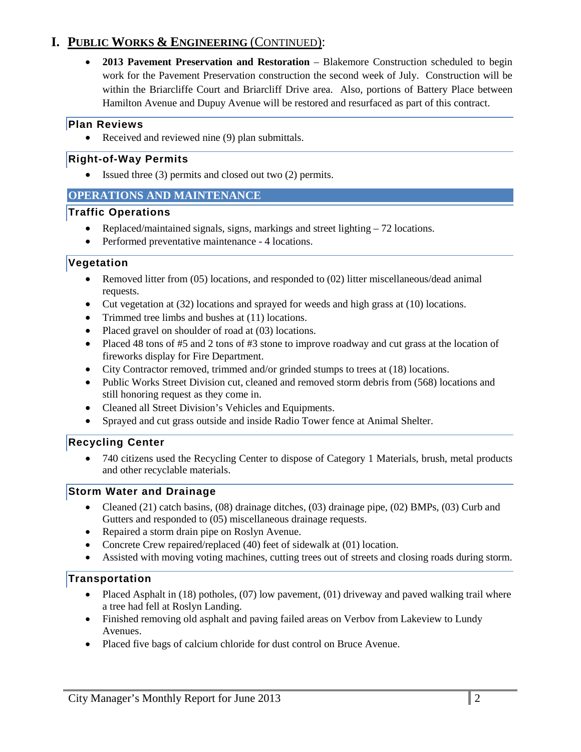## **I. PUBLIC WORKS & ENGINEERING** (CONTINUED):

• **2013 Pavement Preservation and Restoration** – Blakemore Construction scheduled to begin work for the Pavement Preservation construction the second week of July. Construction will be within the Briarcliffe Court and Briarcliff Drive area. Also, portions of Battery Place between Hamilton Avenue and Dupuy Avenue will be restored and resurfaced as part of this contract.

#### **Plan Reviews**

• Received and reviewed nine (9) plan submittals.

#### **Right-of-Way Permits**

• Issued three (3) permits and closed out two (2) permits.

#### **OPERATIONS AND MAINTENANCE**

#### **Traffic Operations**

- Replaced/maintained signals, signs, markings and street lighting 72 locations.
- Performed preventative maintenance 4 locations.

#### **Vegetation**

- Removed litter from (05) locations, and responded to (02) litter miscellaneous/dead animal requests.
- Cut vegetation at (32) locations and sprayed for weeds and high grass at (10) locations.
- Trimmed tree limbs and bushes at (11) locations.
- Placed gravel on shoulder of road at (03) locations.
- Placed 48 tons of #5 and 2 tons of #3 stone to improve roadway and cut grass at the location of fireworks display for Fire Department.
- City Contractor removed, trimmed and/or grinded stumps to trees at (18) locations.
- Public Works Street Division cut, cleaned and removed storm debris from (568) locations and still honoring request as they come in.
- Cleaned all Street Division's Vehicles and Equipments.
- Sprayed and cut grass outside and inside Radio Tower fence at Animal Shelter.

#### **Recycling Center**

• 740 citizens used the Recycling Center to dispose of Category 1 Materials, brush, metal products and other recyclable materials.

#### **Storm Water and Drainage**

- Cleaned (21) catch basins, (08) drainage ditches, (03) drainage pipe, (02) BMPs, (03) Curb and Gutters and responded to (05) miscellaneous drainage requests.
- Repaired a storm drain pipe on Roslyn Avenue.
- Concrete Crew repaired/replaced (40) feet of sidewalk at (01) location.
- Assisted with moving voting machines, cutting trees out of streets and closing roads during storm.

#### **Transportation**

- Placed Asphalt in (18) potholes, (07) low pavement, (01) driveway and paved walking trail where a tree had fell at Roslyn Landing.
- Finished removing old asphalt and paving failed areas on Verbov from Lakeview to Lundy Avenues.
- Placed five bags of calcium chloride for dust control on Bruce Avenue.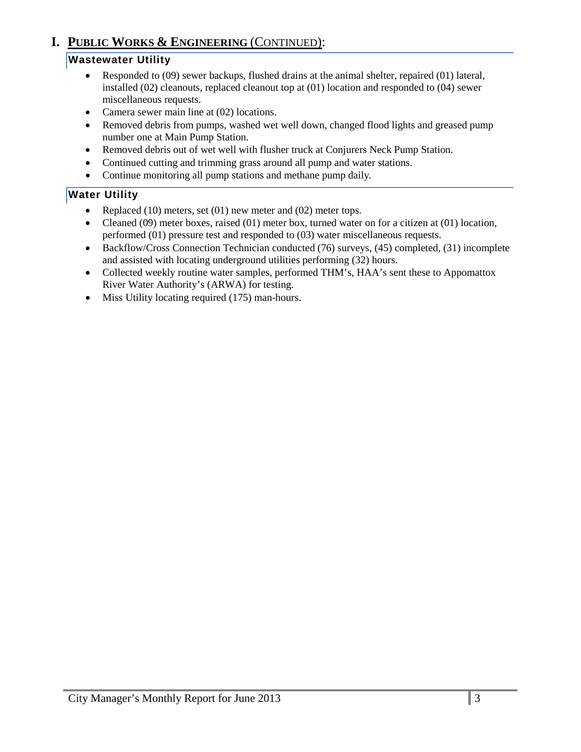## **I. PUBLIC WORKS & ENGINEERING** (CONTINUED):

#### **Wastewater Utility**

- Responded to (09) sewer backups, flushed drains at the animal shelter, repaired (01) lateral, installed (02) cleanouts, replaced cleanout top at (01) location and responded to (04) sewer miscellaneous requests.
- Camera sewer main line at (02) locations.
- Removed debris from pumps, washed wet well down, changed flood lights and greased pump number one at Main Pump Station.
- Removed debris out of wet well with flusher truck at Conjurers Neck Pump Station.
- Continued cutting and trimming grass around all pump and water stations.
- Continue monitoring all pump stations and methane pump daily*.*

#### **Water Utility**

- Replaced (10) meters, set (01) new meter and (02) meter tops.
- Cleaned  $(09)$  meter boxes, raised  $(01)$  meter box, turned water on for a citizen at  $(01)$  location, performed (01) pressure test and responded to (03) water miscellaneous requests.
- Backflow/Cross Connection Technician conducted (76) surveys, (45) completed, (31) incomplete and assisted with locating underground utilities performing (32) hours.
- Collected weekly routine water samples, performed THM's, HAA's sent these to Appomattox River Water Authority's (ARWA) for testing.
- Miss Utility locating required (175) man-hours.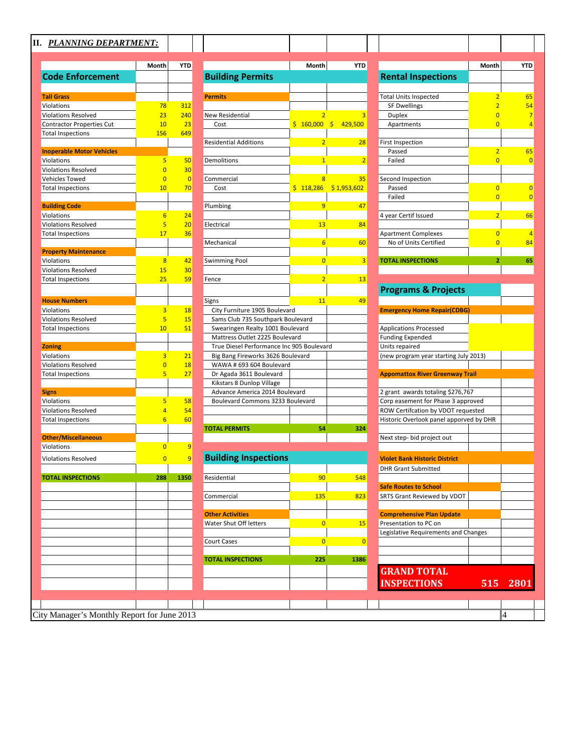#### **II.** *PLANNING DEPARTMENT:*

|                                             | Month           | <b>YTD</b>     |                                                   | Month          | <b>YTD</b>              |                                         | Month                            |
|---------------------------------------------|-----------------|----------------|---------------------------------------------------|----------------|-------------------------|-----------------------------------------|----------------------------------|
| <b>Code Enforcement</b>                     |                 |                | <b>Building Permits</b>                           |                |                         | <b>Rental Inspections</b>               |                                  |
|                                             |                 |                |                                                   |                |                         |                                         |                                  |
| <b>Tall Grass</b><br>Violations             | 78              | 312            | <b>Permits</b>                                    |                |                         | <b>Total Units Inspected</b>            | $\overline{2}$<br>$\overline{2}$ |
| <b>Violations Resolved</b>                  | 23              | 240            | <b>New Residential</b>                            | $\overline{2}$ | 3                       | <b>SF Dwellings</b><br><b>Duplex</b>    | $\Omega$                         |
| <b>Contractor Properties Cut</b>            | 10              | 23             | Cost                                              |                | $$160,000$$ $$429,500$  | Apartments                              | $\overline{0}$                   |
| <b>Total Inspections</b>                    | 156             | 649            |                                                   |                |                         |                                         |                                  |
|                                             |                 |                | <b>Residential Additions</b>                      | $\overline{2}$ | 28                      | First Inspection                        |                                  |
| <b>Inoperable Motor Vehicles</b>            |                 |                |                                                   |                |                         | Passed                                  | $\overline{2}$                   |
| Violations                                  | 5               | 50             | Demolitions                                       | $\overline{1}$ | $\overline{2}$          | Failed                                  | $\overline{0}$                   |
| <b>Violations Resolved</b>                  | $\overline{0}$  | 30             |                                                   |                |                         |                                         |                                  |
| Vehicles Towed                              | $\overline{0}$  | $\overline{0}$ | Commercial                                        | 8              | 35                      | Second Inspection                       |                                  |
| <b>Total Inspections</b>                    | 10              | 70             | Cost                                              |                | $$118,286$ $$1,953,602$ | Passed                                  | $\overline{0}$                   |
|                                             |                 |                |                                                   |                |                         | Failed                                  | $\overline{0}$                   |
| <b>Building Code</b>                        |                 |                | Plumbing                                          | 9              | 47                      |                                         |                                  |
| Violations                                  | $6\overline{6}$ | 24             |                                                   |                |                         | 4 year Certif Issued                    | $\overline{2}$                   |
| <b>Violations Resolved</b>                  | 5               | 20             | Electrical                                        | 13             | 84                      |                                         |                                  |
| <b>Total Inspections</b>                    | 17              | 36             |                                                   |                |                         | <b>Apartment Complexes</b>              | $\overline{0}$                   |
|                                             |                 |                | Mechanical                                        | 6              | 60                      | No of Units Certified                   | $\overline{0}$                   |
| <b>Property Maintenance</b>                 |                 |                |                                                   |                |                         |                                         |                                  |
| Violations                                  | 8               | 42             | <b>Swimming Pool</b>                              | $\overline{0}$ | $\overline{3}$          | <b>TOTAL INSPECTIONS</b>                | $\overline{2}$                   |
| <b>Violations Resolved</b>                  | 15              | 30             |                                                   |                |                         |                                         |                                  |
| <b>Total Inspections</b>                    | 25              | 59             | Fence                                             | $\overline{2}$ | 13                      |                                         |                                  |
|                                             |                 |                |                                                   |                |                         | <b>Programs &amp; Projects</b>          |                                  |
| <b>House Numbers</b>                        |                 |                | Signs                                             | 11             | 49                      |                                         |                                  |
| Violations                                  | $\overline{3}$  | 18             | City Furniture 1905 Boulevard                     |                |                         | <b>Emergency Home Repair(CDBG)</b>      |                                  |
| <b>Violations Resolved</b>                  | 5               | 15             | Sams Club 735 Southpark Boulevard                 |                |                         |                                         |                                  |
| <b>Total Inspections</b>                    | 10              | 51             | Swearingen Realty 1001 Boulevard                  |                |                         | <b>Applications Processed</b>           |                                  |
|                                             |                 |                | Mattress Outlet 2225 Boulevard                    |                |                         | <b>Funding Expended</b>                 |                                  |
| <b>Zoning</b>                               |                 |                | True Diesel Performance Inc 905 Boulevard         |                |                         | Units repaired                          |                                  |
| Violations                                  | $\overline{3}$  | 21             | Big Bang Fireworks 3626 Boulevard                 |                |                         | (new program year starting July 2013)   |                                  |
| <b>Violations Resolved</b>                  | $\overline{0}$  | 18             | WAWA # 693 604 Boulevard                          |                |                         |                                         |                                  |
| <b>Total Inspections</b>                    | 5               | 27             | Dr Agada 3611 Boulevard                           |                |                         | <b>Appomattox River Greenway Trail</b>  |                                  |
|                                             |                 |                | Kikstars 8 Dunlop Village                         |                |                         |                                         |                                  |
| <b>Signs</b>                                |                 |                | Advance America 2014 Boulevard                    |                |                         | 2 grant awards totaling \$276,767       |                                  |
| Violations                                  | $\overline{5}$  | 58             | Boulevard Commons 3233 Boulevard                  |                |                         | Corp easement for Phase 3 approved      |                                  |
| <b>Violations Resolved</b>                  | 4               | 54             |                                                   |                |                         | ROW Certifcation by VDOT requested      |                                  |
| <b>Total Inspections</b>                    | $6\overline{6}$ | 60             |                                                   |                |                         | Historic Overlook panel apporved by DHR |                                  |
|                                             |                 |                | <b>TOTAL PERMITS</b>                              | 54             | 324                     |                                         |                                  |
| <b>Other/Miscellaneous</b>                  |                 |                |                                                   |                |                         | Next step- bid project out              |                                  |
| Violations                                  | $\overline{0}$  | $\overline{9}$ |                                                   |                |                         |                                         |                                  |
| <b>Violations Resolved</b>                  | $\overline{0}$  | $\overline{9}$ | <b>Building Inspections</b>                       |                |                         | <b>Violet Bank Historic District</b>    |                                  |
|                                             |                 |                |                                                   |                |                         |                                         |                                  |
|                                             |                 |                |                                                   |                |                         | <b>DHR Grant Submitted</b>              |                                  |
| <b>TOTAL INSPECTIONS</b>                    | 288             | 1350           | Residential                                       | 90             | 548                     |                                         |                                  |
|                                             |                 |                |                                                   |                |                         | <b>Safe Routes to School</b>            |                                  |
|                                             |                 |                | Commercial                                        | 135            | 823                     | SRTS Grant Reviewed by VDOT             |                                  |
|                                             |                 |                |                                                   |                |                         | <b>Comprehensive Plan Update</b>        |                                  |
|                                             |                 |                | <b>Other Activities</b><br>Water Shut Off letters | $\overline{0}$ | 15                      | Presentation to PC on                   |                                  |
|                                             |                 |                |                                                   |                |                         | Legislative Requirements and Changes    |                                  |
|                                             |                 |                | <b>Court Cases</b>                                | $\overline{0}$ | $\overline{0}$          |                                         |                                  |
|                                             |                 |                |                                                   |                |                         |                                         |                                  |
|                                             |                 |                | <b>TOTAL INSPECTIONS</b>                          | 225            | 1386                    |                                         |                                  |
|                                             |                 |                |                                                   |                |                         |                                         |                                  |
|                                             |                 |                |                                                   |                |                         | <b>GRAND TOTAL</b>                      |                                  |
|                                             |                 |                |                                                   |                |                         | <b>INSPECTIONS</b>                      | 515                              |
|                                             |                 |                |                                                   |                |                         |                                         |                                  |
|                                             |                 |                |                                                   |                |                         |                                         |                                  |
|                                             |                 |                |                                                   |                |                         |                                         |                                  |
| City Manager's Monthly Report for June 2013 |                 |                |                                                   |                |                         |                                         | $\vert 4$                        |

| <b>PLANNING DEPARTMENT:</b>      |                     |                |                                                                    |                 |                        |                                                                          |                                  |                               |
|----------------------------------|---------------------|----------------|--------------------------------------------------------------------|-----------------|------------------------|--------------------------------------------------------------------------|----------------------------------|-------------------------------|
|                                  | Month               | <b>YTD</b>     |                                                                    | Month           | <b>YTD</b>             |                                                                          | Month                            | <b>YTC</b>                    |
| <b>Code Enforcement</b>          |                     |                | <b>Building Permits</b>                                            |                 |                        | <b>Rental Inspections</b>                                                |                                  |                               |
|                                  |                     |                |                                                                    |                 |                        |                                                                          |                                  |                               |
| <b>Tall Grass</b>                |                     |                | <b>Permits</b>                                                     |                 |                        | <b>Total Units Inspected</b>                                             | $\overline{2}$                   | 65                            |
| Violations                       | 78                  | 312            |                                                                    |                 |                        | <b>SF Dwellings</b>                                                      | $\overline{2}$                   | 54                            |
| <b>Violations Resolved</b>       | 23                  | 240            | New Residential                                                    |                 |                        | <b>Duplex</b>                                                            | $\overline{0}$                   |                               |
| Contractor Properties Cut        | 10                  | 23             | Cost                                                               |                 | $$160,000$$ $$429,500$ | Apartments                                                               | $\overline{0}$                   | $\overline{\mathbf{r}}$       |
| <b>Total Inspections</b>         | 156                 | 649            |                                                                    |                 |                        |                                                                          |                                  |                               |
|                                  |                     |                | <b>Residential Additions</b>                                       | $\overline{2}$  | 28                     | <b>First Inspection</b>                                                  |                                  |                               |
| <b>Inoperable Motor Vehicles</b> |                     |                |                                                                    |                 |                        | Passed                                                                   | $\overline{2}$                   | 65                            |
| Violations                       | 5                   | 50             | Demolitions                                                        | $\mathbf{1}$    | $\overline{2}$         | Failed                                                                   | $\overline{0}$                   | $\overline{C}$                |
| Violations Resolved              | $\overline{0}$      | 30             |                                                                    |                 |                        |                                                                          |                                  |                               |
| Vehicles Towed                   | $\mathbf{0}$        | $\overline{0}$ | Commercial                                                         | 8               | 35                     | Second Inspection                                                        |                                  |                               |
| <b>Total Inspections</b>         | 10                  | 70             | Cost                                                               | \$118,286       | \$1,953,602            | Passed                                                                   | $\overline{0}$                   | $\overline{a}$                |
|                                  |                     |                |                                                                    |                 |                        | Failed                                                                   | $\overline{0}$                   | $\overline{\mathbf{C}}$       |
| <b>Building Code</b>             |                     |                | Plumbing                                                           | 9               | -47                    |                                                                          |                                  |                               |
| Violations                       | 6<br>5              | 24             |                                                                    | 13              |                        | 4 year Certif Issued                                                     | $\overline{2}$                   | 66                            |
| <b>Violations Resolved</b>       | 17                  | 20             | Electrical                                                         |                 | 84                     |                                                                          |                                  |                               |
| <b>Total Inspections</b>         |                     | 36             | Mechanical                                                         | $6\overline{6}$ | 60                     | <b>Apartment Complexes</b><br>No of Units Certified                      | $\overline{0}$<br>$\overline{0}$ | $\overline{\mathbf{r}}$<br>84 |
| <b>Property Maintenance</b>      |                     |                |                                                                    |                 |                        |                                                                          |                                  |                               |
| Violations                       | 8                   | 42             | <b>Swimming Pool</b>                                               | $\overline{0}$  | 3                      | <b>TOTAL INSPECTIONS</b>                                                 | 2                                | 65                            |
| <b>Violations Resolved</b>       | 15                  | 30             |                                                                    |                 |                        |                                                                          |                                  |                               |
| <b>Total Inspections</b>         | 25                  | 59             | Fence                                                              | $\overline{2}$  | 13                     |                                                                          |                                  |                               |
|                                  |                     |                |                                                                    |                 |                        |                                                                          |                                  |                               |
|                                  |                     |                |                                                                    |                 |                        | <b>Programs &amp; Projects</b>                                           |                                  |                               |
| <b>House Numbers</b>             |                     |                | Signs                                                              | 11              | 49                     |                                                                          |                                  |                               |
| Violations                       | 3                   | 18             | City Furniture 1905 Boulevard                                      |                 |                        | <b>Emergency Home Repair(CDBG)</b>                                       |                                  |                               |
| <b>Violations Resolved</b>       | 5                   | 15             | Sams Club 735 Southpark Boulevard                                  |                 |                        |                                                                          |                                  |                               |
| <b>Total Inspections</b>         | 10                  | 51             | Swearingen Realty 1001 Boulevard                                   |                 |                        | <b>Applications Processed</b>                                            |                                  |                               |
|                                  |                     |                | Mattress Outlet 2225 Boulevard                                     |                 |                        | <b>Funding Expended</b>                                                  |                                  |                               |
| <b>Zoning</b>                    |                     |                | True Diesel Performance Inc 905 Boulevard                          |                 |                        | Units repaired                                                           |                                  |                               |
| Violations                       | 3<br>$\overline{0}$ | 21             | Big Bang Fireworks 3626 Boulevard                                  |                 |                        | (new program year starting July 2013)                                    |                                  |                               |
| <b>Violations Resolved</b>       |                     | 18             | WAWA # 693 604 Boulevard                                           |                 |                        |                                                                          |                                  |                               |
| <b>Total Inspections</b>         | 5                   | 27             | Dr Agada 3611 Boulevard                                            |                 |                        | <b>Appomattox River Greenway Trail</b>                                   |                                  |                               |
|                                  |                     |                | Kikstars 8 Dunlop Village                                          |                 |                        |                                                                          |                                  |                               |
| Signs<br>Violations              | 5                   | 58             | Advance America 2014 Boulevard<br>Boulevard Commons 3233 Boulevard |                 |                        | 2 grant awards totaling \$276,767                                        |                                  |                               |
| <b>Violations Resolved</b>       | 4                   | 54             |                                                                    |                 |                        | Corp easement for Phase 3 approved<br>ROW Certifcation by VDOT requested |                                  |                               |
| <b>Total Inspections</b>         | $6\overline{6}$     | 60             |                                                                    |                 |                        | Historic Overlook panel apporved by DHR                                  |                                  |                               |
|                                  |                     |                | <b>TOTAL PERMITS</b>                                               | 54              | 324                    |                                                                          |                                  |                               |
| <b>Other/Miscellaneous</b>       |                     |                |                                                                    |                 |                        | Next step- bid project out                                               |                                  |                               |
| Violations                       | $\overline{0}$      | 9              |                                                                    |                 |                        |                                                                          |                                  |                               |
|                                  |                     | 9              | <b>Building Inspections</b>                                        |                 |                        |                                                                          |                                  |                               |
| <b>Violations Resolved</b>       | $\overline{0}$      |                |                                                                    |                 |                        | <b>Violet Bank Historic District</b>                                     |                                  |                               |
|                                  |                     |                |                                                                    |                 |                        | <b>DHR Grant Submitted</b>                                               |                                  |                               |
| <b>TOTAL INSPECTIONS</b>         | 288                 | 1350           | Residential                                                        | 90              | 548                    |                                                                          |                                  |                               |
|                                  |                     |                |                                                                    |                 |                        | <b>Safe Routes to School</b>                                             |                                  |                               |
|                                  |                     |                | Commercial                                                         | 135             | 823                    | <b>SRTS Grant Reviewed by VDOT</b>                                       |                                  |                               |
|                                  |                     |                |                                                                    |                 |                        |                                                                          |                                  |                               |
|                                  |                     |                | <b>Other Activities</b><br>Water Shut Off letters                  | $\overline{0}$  | 15                     | <b>Comprehensive Plan Update</b><br>Presentation to PC on                |                                  |                               |
|                                  |                     |                |                                                                    |                 |                        | Legislative Requirements and Changes                                     |                                  |                               |
|                                  |                     |                | Court Cases                                                        | $\overline{0}$  | 0                      |                                                                          |                                  |                               |
|                                  |                     |                |                                                                    |                 |                        |                                                                          |                                  |                               |
|                                  |                     |                | <b>TOTAL INSPECTIONS</b>                                           | 225             | 1386                   |                                                                          |                                  |                               |
|                                  |                     |                |                                                                    |                 |                        |                                                                          |                                  |                               |

| Month<br><b>Rental Inspections</b><br>Total Units Inspected<br>$\overline{\mathbf{2}}$<br>$\overline{2}$<br><b>SF Dwellings</b><br>$\overline{0}$<br>Duplex<br>$\overline{0}$<br>Apartments<br>First Inspection<br>Passed<br>$\overline{\mathbf{2}}$<br>$\overline{\mathbf{0}}$<br>Failed<br>Second Inspection<br>Passed<br>0<br>Failed<br>$\overline{0}$<br>4 year Certif Issued<br>$\overline{2}$<br>0<br>Apartment Complexes<br>No of Units Certified<br>$\overline{0}$<br><b>TOTAL INSPECTIONS</b><br>2<br><b>Programs &amp; Projects</b><br><b>Emergency Home Repair(CDBG)</b><br>Applications Processed<br>Funding Expended<br>Units repaired<br>(new program year starting July 2013)<br><b>Appomattox River Greenway Trail</b><br>2 grant awards totaling \$276,767<br>Corp easement for Phase 3 approved<br>ROW Certifcation by VDOT requested<br>Historic Overlook panel apporved by DHR<br>Next step- bid project out<br><b>Violet Bank Historic Distr</b><br><b>DHR Grant Submitted</b><br><b>Safe Routes to School</b><br>SRTS Grant Reviewed by VDOT<br><b>Comprehensive Plan Update</b><br>Presentation to PC on<br>Legislative Requirements and Changes<br><b>GRAND TOTAL</b><br><b>INSPECTIONS</b><br>515 2801 |  |     |
|---------------------------------------------------------------------------------------------------------------------------------------------------------------------------------------------------------------------------------------------------------------------------------------------------------------------------------------------------------------------------------------------------------------------------------------------------------------------------------------------------------------------------------------------------------------------------------------------------------------------------------------------------------------------------------------------------------------------------------------------------------------------------------------------------------------------------------------------------------------------------------------------------------------------------------------------------------------------------------------------------------------------------------------------------------------------------------------------------------------------------------------------------------------------------------------------------------------------------------|--|-----|
|                                                                                                                                                                                                                                                                                                                                                                                                                                                                                                                                                                                                                                                                                                                                                                                                                                                                                                                                                                                                                                                                                                                                                                                                                                 |  | YTD |
|                                                                                                                                                                                                                                                                                                                                                                                                                                                                                                                                                                                                                                                                                                                                                                                                                                                                                                                                                                                                                                                                                                                                                                                                                                 |  |     |
|                                                                                                                                                                                                                                                                                                                                                                                                                                                                                                                                                                                                                                                                                                                                                                                                                                                                                                                                                                                                                                                                                                                                                                                                                                 |  | 65  |
|                                                                                                                                                                                                                                                                                                                                                                                                                                                                                                                                                                                                                                                                                                                                                                                                                                                                                                                                                                                                                                                                                                                                                                                                                                 |  | 54  |
|                                                                                                                                                                                                                                                                                                                                                                                                                                                                                                                                                                                                                                                                                                                                                                                                                                                                                                                                                                                                                                                                                                                                                                                                                                 |  |     |
|                                                                                                                                                                                                                                                                                                                                                                                                                                                                                                                                                                                                                                                                                                                                                                                                                                                                                                                                                                                                                                                                                                                                                                                                                                 |  |     |
|                                                                                                                                                                                                                                                                                                                                                                                                                                                                                                                                                                                                                                                                                                                                                                                                                                                                                                                                                                                                                                                                                                                                                                                                                                 |  |     |
|                                                                                                                                                                                                                                                                                                                                                                                                                                                                                                                                                                                                                                                                                                                                                                                                                                                                                                                                                                                                                                                                                                                                                                                                                                 |  | 65  |
|                                                                                                                                                                                                                                                                                                                                                                                                                                                                                                                                                                                                                                                                                                                                                                                                                                                                                                                                                                                                                                                                                                                                                                                                                                 |  |     |
|                                                                                                                                                                                                                                                                                                                                                                                                                                                                                                                                                                                                                                                                                                                                                                                                                                                                                                                                                                                                                                                                                                                                                                                                                                 |  |     |
|                                                                                                                                                                                                                                                                                                                                                                                                                                                                                                                                                                                                                                                                                                                                                                                                                                                                                                                                                                                                                                                                                                                                                                                                                                 |  |     |
|                                                                                                                                                                                                                                                                                                                                                                                                                                                                                                                                                                                                                                                                                                                                                                                                                                                                                                                                                                                                                                                                                                                                                                                                                                 |  |     |
|                                                                                                                                                                                                                                                                                                                                                                                                                                                                                                                                                                                                                                                                                                                                                                                                                                                                                                                                                                                                                                                                                                                                                                                                                                 |  |     |
|                                                                                                                                                                                                                                                                                                                                                                                                                                                                                                                                                                                                                                                                                                                                                                                                                                                                                                                                                                                                                                                                                                                                                                                                                                 |  |     |
|                                                                                                                                                                                                                                                                                                                                                                                                                                                                                                                                                                                                                                                                                                                                                                                                                                                                                                                                                                                                                                                                                                                                                                                                                                 |  |     |
|                                                                                                                                                                                                                                                                                                                                                                                                                                                                                                                                                                                                                                                                                                                                                                                                                                                                                                                                                                                                                                                                                                                                                                                                                                 |  |     |
|                                                                                                                                                                                                                                                                                                                                                                                                                                                                                                                                                                                                                                                                                                                                                                                                                                                                                                                                                                                                                                                                                                                                                                                                                                 |  | 65  |
|                                                                                                                                                                                                                                                                                                                                                                                                                                                                                                                                                                                                                                                                                                                                                                                                                                                                                                                                                                                                                                                                                                                                                                                                                                 |  |     |
|                                                                                                                                                                                                                                                                                                                                                                                                                                                                                                                                                                                                                                                                                                                                                                                                                                                                                                                                                                                                                                                                                                                                                                                                                                 |  |     |
|                                                                                                                                                                                                                                                                                                                                                                                                                                                                                                                                                                                                                                                                                                                                                                                                                                                                                                                                                                                                                                                                                                                                                                                                                                 |  |     |
|                                                                                                                                                                                                                                                                                                                                                                                                                                                                                                                                                                                                                                                                                                                                                                                                                                                                                                                                                                                                                                                                                                                                                                                                                                 |  |     |
|                                                                                                                                                                                                                                                                                                                                                                                                                                                                                                                                                                                                                                                                                                                                                                                                                                                                                                                                                                                                                                                                                                                                                                                                                                 |  |     |
|                                                                                                                                                                                                                                                                                                                                                                                                                                                                                                                                                                                                                                                                                                                                                                                                                                                                                                                                                                                                                                                                                                                                                                                                                                 |  |     |
|                                                                                                                                                                                                                                                                                                                                                                                                                                                                                                                                                                                                                                                                                                                                                                                                                                                                                                                                                                                                                                                                                                                                                                                                                                 |  |     |
|                                                                                                                                                                                                                                                                                                                                                                                                                                                                                                                                                                                                                                                                                                                                                                                                                                                                                                                                                                                                                                                                                                                                                                                                                                 |  |     |
|                                                                                                                                                                                                                                                                                                                                                                                                                                                                                                                                                                                                                                                                                                                                                                                                                                                                                                                                                                                                                                                                                                                                                                                                                                 |  |     |
|                                                                                                                                                                                                                                                                                                                                                                                                                                                                                                                                                                                                                                                                                                                                                                                                                                                                                                                                                                                                                                                                                                                                                                                                                                 |  |     |
|                                                                                                                                                                                                                                                                                                                                                                                                                                                                                                                                                                                                                                                                                                                                                                                                                                                                                                                                                                                                                                                                                                                                                                                                                                 |  |     |
|                                                                                                                                                                                                                                                                                                                                                                                                                                                                                                                                                                                                                                                                                                                                                                                                                                                                                                                                                                                                                                                                                                                                                                                                                                 |  |     |
|                                                                                                                                                                                                                                                                                                                                                                                                                                                                                                                                                                                                                                                                                                                                                                                                                                                                                                                                                                                                                                                                                                                                                                                                                                 |  |     |
|                                                                                                                                                                                                                                                                                                                                                                                                                                                                                                                                                                                                                                                                                                                                                                                                                                                                                                                                                                                                                                                                                                                                                                                                                                 |  |     |
|                                                                                                                                                                                                                                                                                                                                                                                                                                                                                                                                                                                                                                                                                                                                                                                                                                                                                                                                                                                                                                                                                                                                                                                                                                 |  |     |
|                                                                                                                                                                                                                                                                                                                                                                                                                                                                                                                                                                                                                                                                                                                                                                                                                                                                                                                                                                                                                                                                                                                                                                                                                                 |  |     |
|                                                                                                                                                                                                                                                                                                                                                                                                                                                                                                                                                                                                                                                                                                                                                                                                                                                                                                                                                                                                                                                                                                                                                                                                                                 |  |     |
|                                                                                                                                                                                                                                                                                                                                                                                                                                                                                                                                                                                                                                                                                                                                                                                                                                                                                                                                                                                                                                                                                                                                                                                                                                 |  |     |
|                                                                                                                                                                                                                                                                                                                                                                                                                                                                                                                                                                                                                                                                                                                                                                                                                                                                                                                                                                                                                                                                                                                                                                                                                                 |  |     |
|                                                                                                                                                                                                                                                                                                                                                                                                                                                                                                                                                                                                                                                                                                                                                                                                                                                                                                                                                                                                                                                                                                                                                                                                                                 |  |     |
|                                                                                                                                                                                                                                                                                                                                                                                                                                                                                                                                                                                                                                                                                                                                                                                                                                                                                                                                                                                                                                                                                                                                                                                                                                 |  |     |
|                                                                                                                                                                                                                                                                                                                                                                                                                                                                                                                                                                                                                                                                                                                                                                                                                                                                                                                                                                                                                                                                                                                                                                                                                                 |  |     |
|                                                                                                                                                                                                                                                                                                                                                                                                                                                                                                                                                                                                                                                                                                                                                                                                                                                                                                                                                                                                                                                                                                                                                                                                                                 |  |     |
|                                                                                                                                                                                                                                                                                                                                                                                                                                                                                                                                                                                                                                                                                                                                                                                                                                                                                                                                                                                                                                                                                                                                                                                                                                 |  |     |
|                                                                                                                                                                                                                                                                                                                                                                                                                                                                                                                                                                                                                                                                                                                                                                                                                                                                                                                                                                                                                                                                                                                                                                                                                                 |  |     |
|                                                                                                                                                                                                                                                                                                                                                                                                                                                                                                                                                                                                                                                                                                                                                                                                                                                                                                                                                                                                                                                                                                                                                                                                                                 |  |     |
|                                                                                                                                                                                                                                                                                                                                                                                                                                                                                                                                                                                                                                                                                                                                                                                                                                                                                                                                                                                                                                                                                                                                                                                                                                 |  |     |
|                                                                                                                                                                                                                                                                                                                                                                                                                                                                                                                                                                                                                                                                                                                                                                                                                                                                                                                                                                                                                                                                                                                                                                                                                                 |  |     |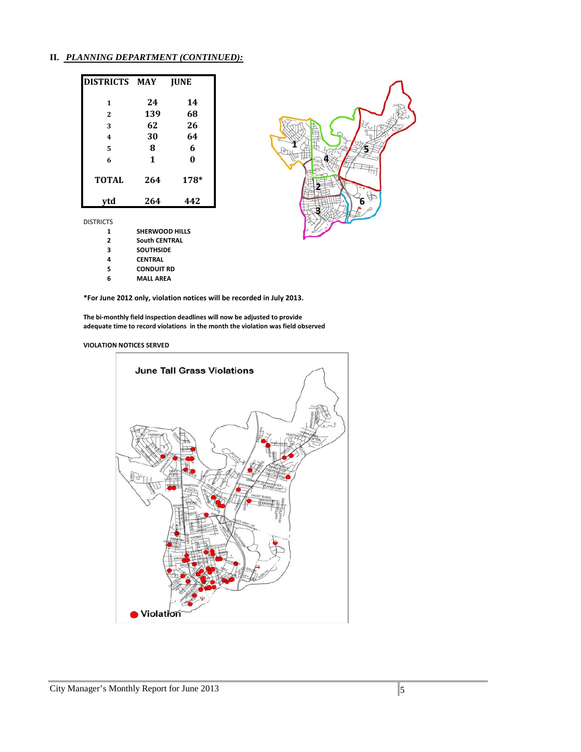#### **II.** *PLANNING DEPARTMENT (CONTINUED):*

| DISTRICTS MAY |     | <b>IUNE</b> |
|---------------|-----|-------------|
| 1             | 24  | 14          |
| $\mathbf{2}$  | 139 | 68          |
| 3             | 62  | 26          |
| 4             | 30  | 64          |
| 5             | 8   | 6           |
| 6             | 1   | $\bf{0}$    |
| <b>TOTAL</b>  | 264 | 178*        |
| vtd           | 264 | 442         |

DISTRICTS

| 1 | <b>SHERWOOD HILLS</b> |  |
|---|-----------------------|--|
|   |                       |  |

- **South CENTRAL**
- **SOUTHSIDE**
- **CENTRAL**
- **CONDUIT RD**
- **MALL AREA**

**\*For June 2012 only, violation notices will be recorded in July 2013.**

**The bi-monthly field inspection deadlines will now be adjusted to provide adequate time to record violations in the month the violation was field observed**

#### **VIOLATION NOTICES SERVED**



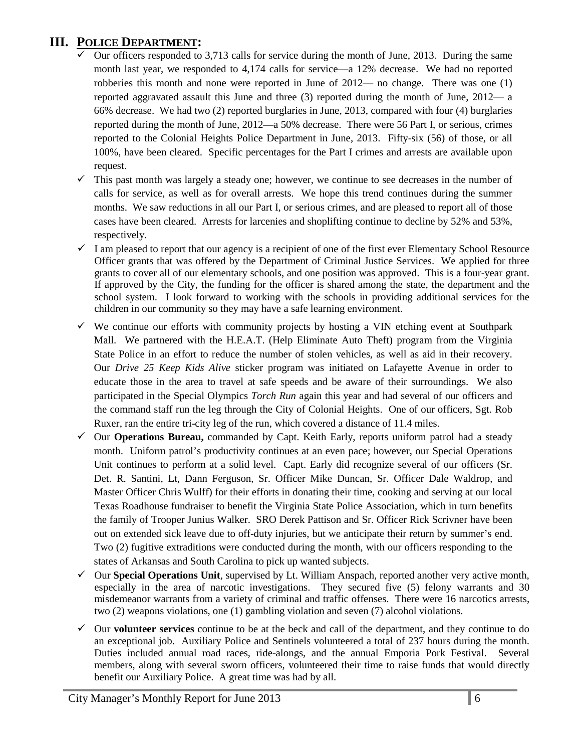## **III. POLICE DEPARTMENT:**

- Our officers responded to 3,713 calls for service during the month of June, 2013. During the same month last year, we responded to 4,174 calls for service—a 12% decrease. We had no reported robberies this month and none were reported in June of 2012— no change. There was one (1) reported aggravated assault this June and three (3) reported during the month of June, 2012— a 66% decrease. We had two (2) reported burglaries in June, 2013, compared with four (4) burglaries reported during the month of June, 2012—a 50% decrease. There were 56 Part I, or serious, crimes reported to the Colonial Heights Police Department in June, 2013. Fifty-six (56) of those, or all 100%, have been cleared. Specific percentages for the Part I crimes and arrests are available upon request.
- $\checkmark$  This past month was largely a steady one; however, we continue to see decreases in the number of calls for service, as well as for overall arrests. We hope this trend continues during the summer months. We saw reductions in all our Part I, or serious crimes, and are pleased to report all of those cases have been cleared. Arrests for larcenies and shoplifting continue to decline by 52% and 53%, respectively.
- $\checkmark$  I am pleased to report that our agency is a recipient of one of the first ever Elementary School Resource Officer grants that was offered by the Department of Criminal Justice Services. We applied for three grants to cover all of our elementary schools, and one position was approved. This is a four-year grant. If approved by the City, the funding for the officer is shared among the state, the department and the school system. I look forward to working with the schools in providing additional services for the children in our community so they may have a safe learning environment.
- $\checkmark$  We continue our efforts with community projects by hosting a VIN etching event at Southpark Mall. We partnered with the H.E.A.T. (Help Eliminate Auto Theft) program from the Virginia State Police in an effort to reduce the number of stolen vehicles, as well as aid in their recovery. Our *Drive 25 Keep Kids Alive* sticker program was initiated on Lafayette Avenue in order to educate those in the area to travel at safe speeds and be aware of their surroundings. We also participated in the Special Olympics *Torch Run* again this year and had several of our officers and the command staff run the leg through the City of Colonial Heights. One of our officers, Sgt. Rob Ruxer, ran the entire tri-city leg of the run, which covered a distance of 11.4 miles.
- Our **Operations Bureau,** commanded by Capt. Keith Early, reports uniform patrol had a steady month. Uniform patrol's productivity continues at an even pace; however, our Special Operations Unit continues to perform at a solid level. Capt. Early did recognize several of our officers (Sr. Det. R. Santini, Lt, Dann Ferguson, Sr. Officer Mike Duncan, Sr. Officer Dale Waldrop, and Master Officer Chris Wulff) for their efforts in donating their time, cooking and serving at our local Texas Roadhouse fundraiser to benefit the Virginia State Police Association, which in turn benefits the family of Trooper Junius Walker. SRO Derek Pattison and Sr. Officer Rick Scrivner have been out on extended sick leave due to off-duty injuries, but we anticipate their return by summer's end. Two (2) fugitive extraditions were conducted during the month, with our officers responding to the states of Arkansas and South Carolina to pick up wanted subjects.
- Our **Special Operations Unit**, supervised by Lt. William Anspach, reported another very active month, especially in the area of narcotic investigations. They secured five (5) felony warrants and 30 misdemeanor warrants from a variety of criminal and traffic offenses. There were 16 narcotics arrests, two (2) weapons violations, one (1) gambling violation and seven (7) alcohol violations.
- $\checkmark$  Our **volunteer services** continue to be at the beck and call of the department, and they continue to do an exceptional job. Auxiliary Police and Sentinels volunteered a total of 237 hours during the month. Duties included annual road races, ride-alongs, and the annual Emporia Pork Festival. Several members, along with several sworn officers, volunteered their time to raise funds that would directly benefit our Auxiliary Police. A great time was had by all.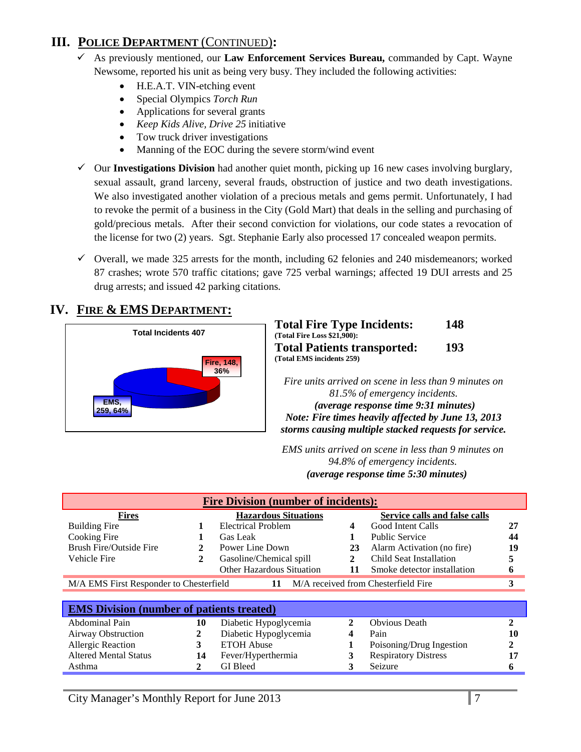## **III. POLICE DEPARTMENT** (CONTINUED)**:**

- As previously mentioned, our **Law Enforcement Services Bureau,** commanded by Capt. Wayne Newsome, reported his unit as being very busy. They included the following activities:
	- H.E.A.T. VIN-etching event
	- Special Olympics *Torch Run*
	- Applications for several grants
	- *Keep Kids Alive, Drive 25* initiative
	- Tow truck driver investigations
	- Manning of the EOC during the severe storm/wind event
- $\checkmark$  Our **Investigations Division** had another quiet month, picking up 16 new cases involving burglary, sexual assault, grand larceny, several frauds, obstruction of justice and two death investigations. We also investigated another violation of a precious metals and gems permit. Unfortunately, I had to revoke the permit of a business in the City (Gold Mart) that deals in the selling and purchasing of gold/precious metals. After their second conviction for violations, our code states a revocation of the license for two (2) years. Sgt. Stephanie Early also processed 17 concealed weapon permits.
- $\checkmark$  Overall, we made 325 arrests for the month, including 62 felonies and 240 misdemeanors; worked 87 crashes; wrote 570 traffic citations; gave 725 verbal warnings; affected 19 DUI arrests and 25 drug arrests; and issued 42 parking citations.

## **IV. FIRE & EMS DEPARTMENT:**



| <b>Total Fire Type Incidents:</b><br>(Total Fire Loss \$21,900): | 148        |
|------------------------------------------------------------------|------------|
| <b>Total Patients transported:</b>                               | <b>193</b> |
| (Total EMS incidents 259)                                        |            |

*Fire units arrived on scene in less than 9 minutes on 81.5% of emergency incidents. (average response time 9:31 minutes) Note: Fire times heavily affected by June 13, 2013 storms causing multiple stacked requests for service.*

*EMS units arrived on scene in less than 9 minutes on 94.8% of emergency incidents. U(average response time 5:30 minutes)*

| <b>Fire Division (number of incidents):</b>                                               |    |                             |                         |                               |    |
|-------------------------------------------------------------------------------------------|----|-----------------------------|-------------------------|-------------------------------|----|
| <b>Fires</b>                                                                              |    | <b>Hazardous Situations</b> |                         | Service calls and false calls |    |
| <b>Building Fire</b>                                                                      |    | <b>Electrical Problem</b>   | $\overline{\mathbf{4}}$ | Good Intent Calls             | 27 |
| Cooking Fire                                                                              |    | Gas Leak                    |                         | <b>Public Service</b>         | 44 |
| Brush Fire/Outside Fire                                                                   |    | Power Line Down             | 23                      | Alarm Activation (no fire)    | 19 |
| Vehicle Fire                                                                              | 2  | Gasoline/Chemical spill     | 2                       | Child Seat Installation       | 5  |
|                                                                                           |    | Other Hazardous Situation   | 11                      | Smoke detector installation   | 6  |
| M/A received from Chesterfield Fire<br>M/A EMS First Responder to Chesterfield<br>3<br>11 |    |                             |                         |                               |    |
|                                                                                           |    |                             |                         |                               |    |
| <b>EMS</b> Division (number of patients treated)                                          |    |                             |                         |                               |    |
| Abdominal Pain                                                                            | 10 | Diabetic Hypoglycemia       | $\mathbf{2}$            | <b>Obvious</b> Death          | 2  |
| Airway Obstruction                                                                        | 2  | Diabetic Hypoglycemia       | 4                       | Pain                          | 10 |
| Allergic Reaction                                                                         | 3  | <b>ETOH</b> Abuse           |                         | Poisoning/Drug Ingestion      | 2  |
| <b>Altered Mental Status</b>                                                              | 14 | Fever/Hyperthermia          | 3                       | <b>Respiratory Distress</b>   |    |
| Asthma                                                                                    | 2  | <b>GI</b> Bleed             | 3                       | Seizure                       | n  |
|                                                                                           |    |                             |                         |                               |    |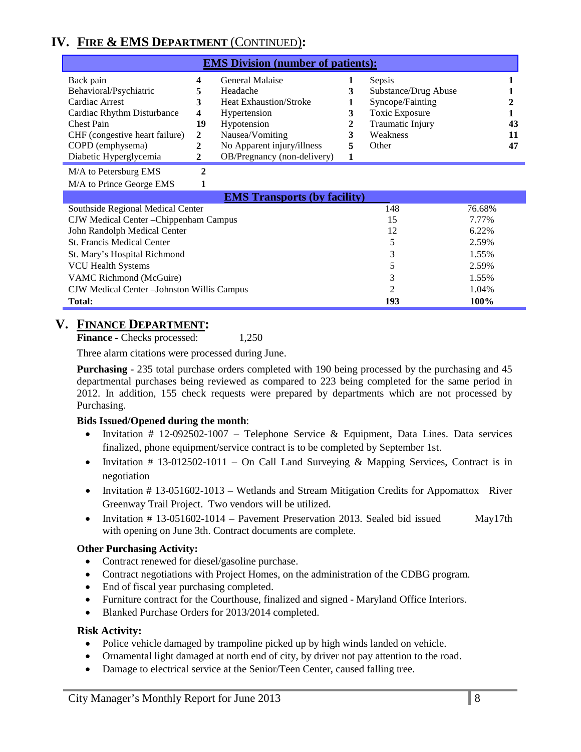## **IV. FIRE & EMS DEPARTMENT** (CONTINUED)**:**

| <b>EMS Division (number of patients):</b> |        |                               |  |                       |    |
|-------------------------------------------|--------|-------------------------------|--|-----------------------|----|
| Back pain                                 | 4      | General Malaise               |  | Sepsis                |    |
| Behavioral/Psychiatric                    |        | Headache                      |  | Substance/Drug Abuse  |    |
| Cardiac Arrest                            | 3      | <b>Heat Exhaustion/Stroke</b> |  | Syncope/Fainting      |    |
| Cardiac Rhythm Disturbance                | 4      | Hypertension                  |  | <b>Toxic Exposure</b> |    |
| <b>Chest Pain</b>                         | 19     | Hypotension                   |  | Traumatic Injury      | 43 |
| CHF (congestive heart failure)            | 2      | Nausea/Vomiting               |  | Weakness              | 11 |
| COPD (emphysema)                          | 2      | No Apparent injury/illness    |  | Other                 | 47 |
| Diabetic Hyperglycemia                    | 2      | OB/Pregnancy (non-delivery)   |  |                       |    |
| $M/A$ , $D$ , $I$ , $M$                   | $\sim$ |                               |  |                       |    |

M/A to Petersburg EMS **2** M/A to Prince George EMS **1**

| <b>EMS Transports (by facility)</b>         |                |        |  |  |  |  |
|---------------------------------------------|----------------|--------|--|--|--|--|
| Southside Regional Medical Center           | 148            | 76.68% |  |  |  |  |
| CJW Medical Center - Chippenham Campus      | 15             | 7.77%  |  |  |  |  |
| John Randolph Medical Center                | 12             | 6.22%  |  |  |  |  |
| <b>St. Francis Medical Center</b>           |                | 2.59%  |  |  |  |  |
| St. Mary's Hospital Richmond                | 3              | 1.55%  |  |  |  |  |
| <b>VCU Health Systems</b>                   |                | 2.59%  |  |  |  |  |
| VAMC Richmond (McGuire)                     |                | 1.55%  |  |  |  |  |
| CJW Medical Center – Johnston Willis Campus | $\mathfrak{D}$ | 1.04%  |  |  |  |  |
| <b>Total:</b>                               | 193            | 100%   |  |  |  |  |

#### **V. FINANCE DEPARTMENT:**

**Finance -** Checks processed: 1,250

Three alarm citations were processed during June.

**Purchasing** - 235 total purchase orders completed with 190 being processed by the purchasing and 45 departmental purchases being reviewed as compared to 223 being completed for the same period in 2012. In addition, 155 check requests were prepared by departments which are not processed by Purchasing.

#### **Bids Issued/Opened during the month**:

- Invitation # 12-092502-1007 Telephone Service & Equipment, Data Lines. Data services finalized, phone equipment/service contract is to be completed by September 1st.
- Invitation # 13-012502-1011 On Call Land Surveying & Mapping Services, Contract is in negotiation
- Invitation # 13-051602-1013 Wetlands and Stream Mitigation Credits for Appomattox River Greenway Trail Project. Two vendors will be utilized.
- Invitation # 13-051602-1014 Pavement Preservation 2013. Sealed bid issued May17th with opening on June 3th. Contract documents are complete.

#### **Other Purchasing Activity:**

- Contract renewed for diesel/gasoline purchase.
- Contract negotiations with Project Homes, on the administration of the CDBG program.
- End of fiscal year purchasing completed.
- Furniture contract for the Courthouse, finalized and signed Maryland Office Interiors.
- Blanked Purchase Orders for 2013/2014 completed.

#### **Risk Activity:**

- Police vehicle damaged by trampoline picked up by high winds landed on vehicle.
- Ornamental light damaged at north end of city, by driver not pay attention to the road.
- Damage to electrical service at the Senior/Teen Center, caused falling tree.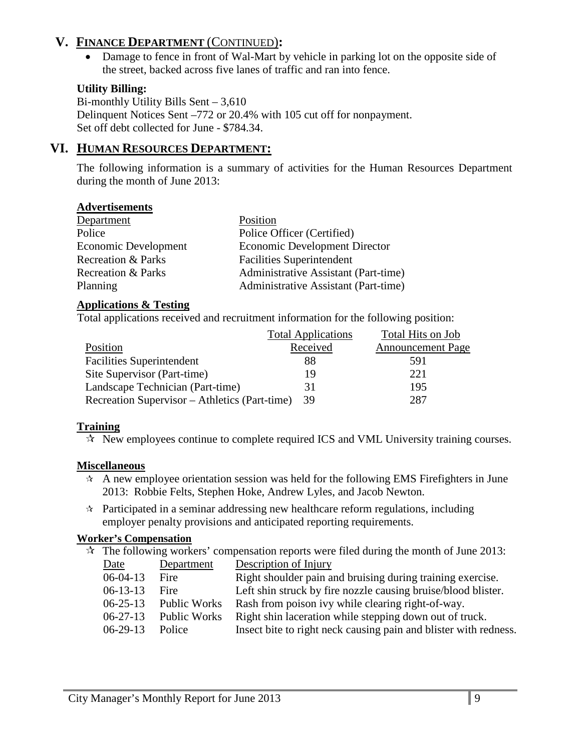## **V. FINANCE DEPARTMENT** (CONTINUED)**:**

• Damage to fence in front of Wal-Mart by vehicle in parking lot on the opposite side of the street, backed across five lanes of traffic and ran into fence.

#### **Utility Billing:**

Bi-monthly Utility Bills Sent – 3,610 Delinquent Notices Sent –772 or 20.4% with 105 cut off for nonpayment. Set off debt collected for June - \$784.34.

## **VI. HUMAN RESOURCES DEPARTMENT:**

The following information is a summary of activities for the Human Resources Department during the month of June 2013:

#### **Advertisements**

| Department                    | Position                             |
|-------------------------------|--------------------------------------|
| Police                        | Police Officer (Certified)           |
| <b>Economic Development</b>   | <b>Economic Development Director</b> |
| <b>Recreation &amp; Parks</b> | <b>Facilities Superintendent</b>     |
| <b>Recreation &amp; Parks</b> | Administrative Assistant (Part-time) |
| Planning                      | Administrative Assistant (Part-time) |

#### **Applications & Testing**

Total applications received and recruitment information for the following position:

|                                               | <b>Total Applications</b> | Total Hits on Job        |
|-----------------------------------------------|---------------------------|--------------------------|
| Position                                      | Received                  | <b>Announcement Page</b> |
| <b>Facilities Superintendent</b>              | 88                        | 591                      |
| Site Supervisor (Part-time)                   | 19                        | 221                      |
| Landscape Technician (Part-time)              | 31                        | 195                      |
| Recreation Supervisor – Athletics (Part-time) | 39                        | 287                      |

#### **Training**

 $\mathcal{R}$  New employees continue to complete required ICS and VML University training courses.

#### **Miscellaneous**

- $\star$  A new employee orientation session was held for the following EMS Firefighters in June 2013: Robbie Felts, Stephen Hoke, Andrew Lyles, and Jacob Newton.
- $\star$  Participated in a seminar addressing new healthcare reform regulations, including employer penalty provisions and anticipated reporting requirements.

#### **Worker's Compensation**

 $\star$  The following workers' compensation reports were filed during the month of June 2013:

| Date           | Department   | Description of Injury                                            |
|----------------|--------------|------------------------------------------------------------------|
| $06-04-13$     | Fire         | Right shoulder pain and bruising during training exercise.       |
| $06-13-13$     | Fire         | Left shin struck by fire nozzle causing bruise/blood blister.    |
| $06 - 25 - 13$ | Public Works | Rash from poison ivy while clearing right-of-way.                |
| $06 - 27 - 13$ | Public Works | Right shin laceration while stepping down out of truck.          |
| $06-29-13$     | Police       | Insect bite to right neck causing pain and blister with redness. |
|                |              |                                                                  |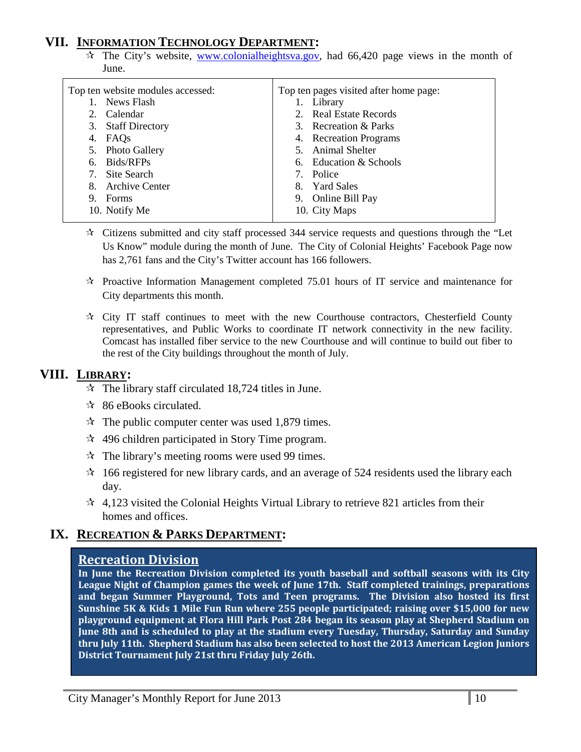### **VII. INFORMATION TECHNOLOGY DEPARTMENT:**

 $\hat{\tau}$  The City's website, [www.colonialheightsva.gov,](http://www.colonialheightsva.gov/) had 66,420 page views in the month of June.

| Top ten website modules accessed: | Top ten pages visited after home page: |
|-----------------------------------|----------------------------------------|
| News Flash                        | Library<br>1.                          |
| Calendar<br>2.                    | 2. Real Estate Records                 |
| 3. Staff Directory                | 3. Recreation & Parks                  |
| FAQs<br>4.                        | 4. Recreation Programs                 |
| 5. Photo Gallery                  | 5. Animal Shelter                      |
| Bids/RFPs<br>6.                   | 6. Education & Schools                 |
| Site Search<br>7.                 | 7. Police                              |
| <b>Archive Center</b><br>8.       | 8. Yard Sales                          |
| Forms<br>9.                       | Online Bill Pay<br>9.                  |
| 10. Notify Me                     | 10. City Maps                          |
|                                   |                                        |

- $\star$  Citizens submitted and city staff processed 344 service requests and questions through the "Let Us Know" module during the month of June. The City of Colonial Heights' Facebook Page now has 2,761 fans and the City's Twitter account has 166 followers.
- $\star$  Proactive Information Management completed 75.01 hours of IT service and maintenance for City departments this month.
- $\forall t$  City IT staff continues to meet with the new Courthouse contractors, Chesterfield County representatives, and Public Works to coordinate IT network connectivity in the new facility. Comcast has installed fiber service to the new Courthouse and will continue to build out fiber to the rest of the City buildings throughout the month of July.

### **VIII. LIBRARY:**

- $\approx$  The library staff circulated 18,724 titles in June.
- $\approx$  86 eBooks circulated.
- $\approx$  The public computer center was used 1,879 times.
- $\approx$  496 children participated in Story Time program.
- $\mathcal{R}$  The library's meeting rooms were used 99 times.
- $\approx$  166 registered for new library cards, and an average of 524 residents used the library each day.
- $\approx$  4,123 visited the Colonial Heights Virtual Library to retrieve 821 articles from their homes and offices.

#### **IX. RECREATION & PARKS DEPARTMENT:**

#### **Recreation Division**

**In June the Recreation Division completed its youth baseball and softball seasons with its City League Night of Champion games the week of June 17th. Staff completed trainings, preparations and began Summer Playground, Tots and Teen programs. The Division also hosted its first Sunshine 5K & Kids 1 Mile Fun Run where 255 people participated; raising over \$15,000 for new playground equipment at Flora Hill Park Post 284 began its season play at Shepherd Stadium on June 8th and is scheduled to play at the stadium every Tuesday, Thursday, Saturday and Sunday thru July 11th. Shepherd Stadium has also been selected to host the 2013 American Legion Juniors District Tournament July 21st thru Friday July 26th.**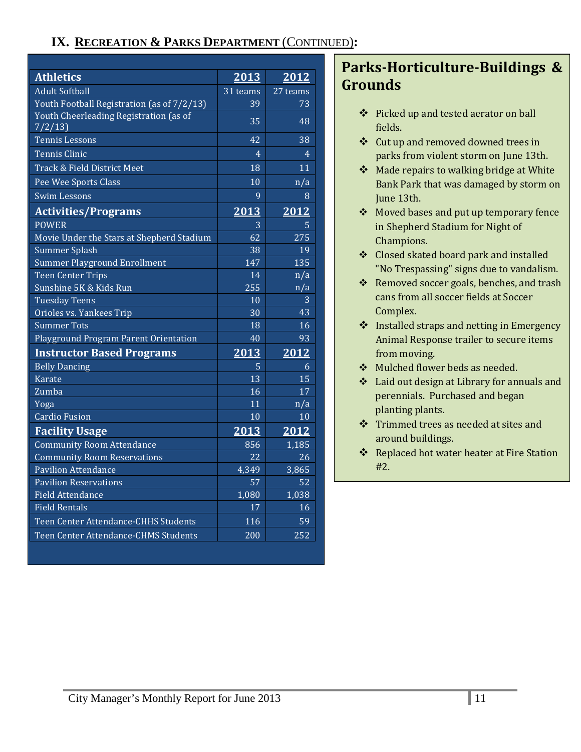## **IX. RECREATION & PARKS DEPARTMENT** (CONTINUED)**:**

| <b>Athletics</b>                                 | 2013             | 2012             |
|--------------------------------------------------|------------------|------------------|
| <b>Adult Softball</b>                            | $31$ teams       | 27 teams         |
| Youth Football Registration (as of 7/2/13)       | 39               | 73               |
| Youth Cheerleading Registration (as of<br>7/2/13 | 35               | 48               |
| <b>Tennis Lessons</b>                            | 42               | 38               |
| <b>Tennis Clinic</b>                             | $\overline{4}$   | 4                |
| Track & Field District Meet                      | 18               | 11               |
| Pee Wee Sports Class                             | 10               | n/a              |
| Swim Lessons                                     | 9                | 8                |
| <b>Activities/Programs</b>                       | 2013             | 2012             |
| <b>POWER</b>                                     | 3                | 5                |
| Movie Under the Stars at Shepherd Stadium        | 62               | 275              |
| <b>Summer Splash</b>                             | 38               | 19               |
| <b>Summer Playground Enrollment</b>              | $\overline{147}$ | $\overline{135}$ |
| <b>Teen Center Trips</b>                         | 14               | n/a              |
| Sunshine 5K & Kids Run                           | 255              | n/a              |
| <b>Tuesday Teens</b>                             | 10               | 3                |
| Orioles vs. Yankees Trip                         | 30               | 43               |
| <b>Summer Tots</b>                               | 18               | 16               |
| Playground Program Parent Orientation            | 40               | 93               |
| <b>Instructor Based Programs</b>                 | 2013             | 2012             |
| <b>Belly Dancing</b>                             | 5                | 6                |
| <b>Karate</b>                                    | 13               | 15               |
| Zumba                                            | 16               | 17               |
| Yoga                                             | 11               | $\overline{n/a}$ |
| <b>Cardio Fusion</b>                             | 10               | 10               |
| <b>Facility Usage</b>                            | 2013             | 2012             |
| <b>Community Room Attendance</b>                 | 856              | 1,185            |
| <b>Community Room Reservations</b>               | 22               | 26               |
| <b>Pavilion Attendance</b>                       | 4,349            | 3,865            |
| <b>Pavilion Reservations</b>                     | 57               | 52               |
| <b>Field Attendance</b>                          | 1,080            | 1,038            |
| <b>Field Rentals</b>                             | 17               | 16               |
| Teen Center Attendance-CHHS Students             | 116              | 59               |
| Teen Center Attendance-CHMS Students             | 200              | 252              |

## **Parks-Horticulture-Buildings & Grounds**

- Picked up and tested aerator on ball fields.
- Cut up and removed downed trees in parks from violent storm on June 13th.
- ❖ Made repairs to walking bridge at White Bank Park that was damaged by storm on June 13th.
- Moved bases and put up temporary fence in Shepherd Stadium for Night of Champions.
- Closed skated board park and installed "No Trespassing" signs due to vandalism.
- \* Removed soccer goals, benches, and trash cans from all soccer fields at Soccer Complex.
- ❖ Installed straps and netting in Emergency Animal Response trailer to secure items from moving.
- Mulched flower beds as needed.
- Laid out design at Library for annuals and perennials. Purchased and began planting plants.
- Trimmed trees as needed at sites and around buildings.
- ❖ Replaced hot water heater at Fire Station #2.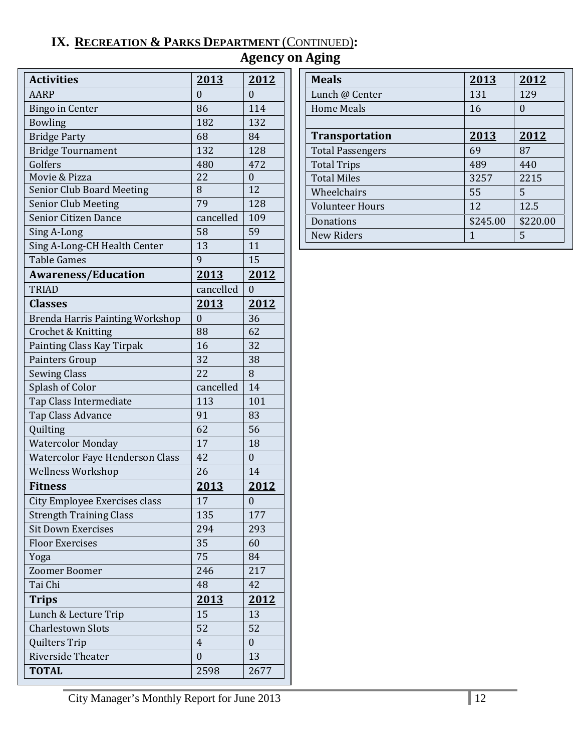## **IX. RECREATION & PARKS DEPARTMENT** (CONTINUED)**:**

| <b>Agency on Aging</b> |  |  |
|------------------------|--|--|
|------------------------|--|--|

| <b>Activities</b>                      | 2013             | 2012             |
|----------------------------------------|------------------|------------------|
| <b>AARP</b>                            | $\Omega$         | $\theta$         |
| <b>Bingo in Center</b>                 | 86               | 114              |
| <b>Bowling</b>                         | 182              | 132              |
| <b>Bridge Party</b>                    | 68               | 84               |
| <b>Bridge Tournament</b>               | 132              | 128              |
| Golfers                                | 480              | 472              |
| Movie & Pizza                          | 22               | $\boldsymbol{0}$ |
| <b>Senior Club Board Meeting</b>       | 8                | 12               |
| <b>Senior Club Meeting</b>             | 79               | 128              |
| Senior Citizen Dance                   | cancelled        | 109              |
| Sing A-Long                            | 58               | 59               |
| Sing A-Long-CH Health Center           | 13               | 11               |
| <b>Table Games</b>                     | 9                | 15               |
| <b>Awareness/Education</b>             | 2013             | 2012             |
| <b>TRIAD</b>                           | cancelled        | $\theta$         |
| <b>Classes</b>                         | 2013             | 2012             |
| <b>Brenda Harris Painting Workshop</b> | $\boldsymbol{0}$ | 36               |
| Crochet & Knitting                     | 88               | 62               |
| Painting Class Kay Tirpak              | 16               | 32               |
| Painters Group                         | 32               | 38               |
| <b>Sewing Class</b>                    | 22               | 8                |
| Splash of Color                        | cancelled        | 14               |
| Tap Class Intermediate                 | 113              | 101              |
| Tap Class Advance                      | 91               | 83               |
| Quilting                               | 62               | 56               |
| <b>Watercolor Monday</b>               | 17               | 18               |
| <b>Watercolor Faye Henderson Class</b> | 42               | 0                |
| <b>Wellness Workshop</b>               | 26               | 14               |
| <b>Fitness</b>                         | 2013             | 2012             |
| City Employee Exercises class          | 17               | $\boldsymbol{0}$ |
| <b>Strength Training Class</b>         | 135              | 177              |
| <b>Sit Down Exercises</b>              | 294              | 293              |
| <b>Floor Exercises</b>                 | 35               | 60               |
| Yoga                                   | 75               | 84               |
| <b>Zoomer Boomer</b>                   | 246              | 217              |
| Tai Chi                                | 48               | 42               |
| <b>Trips</b>                           | 2013             | <u> 2012 </u>    |
| Lunch & Lecture Trip                   | 15               | 13               |
| <b>Charlestown Slots</b>               | 52               | 52               |
| Quilters Trip                          | $\overline{4}$   | 0                |
| <b>Riverside Theater</b>               | $\boldsymbol{0}$ | 13               |
| <b>TOTAL</b>                           | 2598             | 2677             |

| <b>Meals</b>            | 2013        | 2012     |
|-------------------------|-------------|----------|
| Lunch @ Center          | 131         | 129      |
| Home Meals              | 16          | $\Omega$ |
|                         |             |          |
| <b>Transportation</b>   | <u>2013</u> | 2012     |
| <b>Total Passengers</b> | 69          | 87       |
| <b>Total Trips</b>      | 489         | 440      |
| <b>Total Miles</b>      | 3257        | 2215     |
| Wheelchairs             | 55          | 5        |
| <b>Volunteer Hours</b>  | 12          | 12.5     |
| Donations               | \$245.00    | \$220.00 |
| New Riders              | 1           | 5        |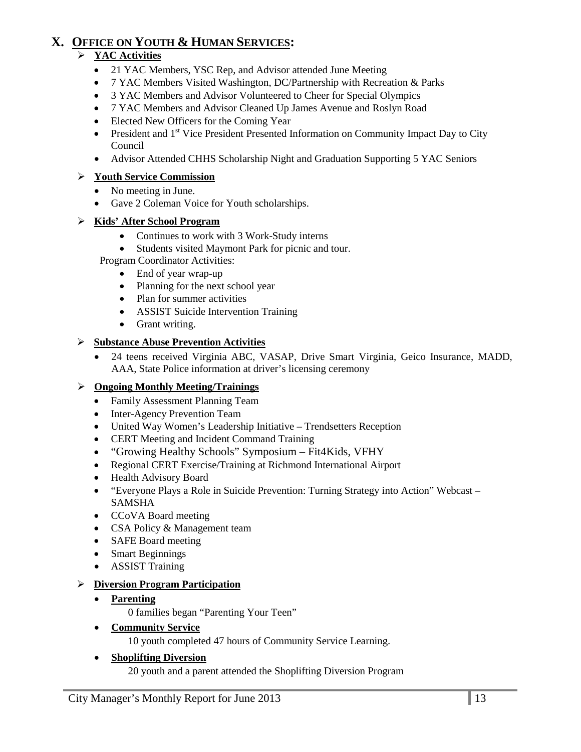## **X. OFFICE ON YOUTH & HUMAN SERVICES:**

#### **YAC Activities**

- 21 YAC Members, YSC Rep, and Advisor attended June Meeting
- 7 YAC Members Visited Washington, DC/Partnership with Recreation & Parks
- 3 YAC Members and Advisor Volunteered to Cheer for Special Olympics
- 7 YAC Members and Advisor Cleaned Up James Avenue and Roslyn Road
- Elected New Officers for the Coming Year
- President and 1<sup>st</sup> Vice President Presented Information on Community Impact Day to City Council
- Advisor Attended CHHS Scholarship Night and Graduation Supporting 5 YAC Seniors

#### **Youth Service Commission**

- No meeting in June.
- Gave 2 Coleman Voice for Youth scholarships.

#### **Kids' After School Program**

• Continues to work with 3 Work-Study interns

• Students visited Maymont Park for picnic and tour.

Program Coordinator Activities:

- End of year wrap-up
- Planning for the next school year
- Plan for summer activities
- ASSIST Suicide Intervention Training
- Grant writing.

#### **Substance Abuse Prevention Activities**

• 24 teens received Virginia ABC, VASAP, Drive Smart Virginia, Geico Insurance, MADD, AAA, State Police information at driver's licensing ceremony

#### **Ongoing Monthly Meeting/Trainings**

- Family Assessment Planning Team
- Inter-Agency Prevention Team
- United Way Women's Leadership Initiative Trendsetters Reception
- CERT Meeting and Incident Command Training
- "Growing Healthy Schools" Symposium Fit4Kids, VFHY
- Regional CERT Exercise/Training at Richmond International Airport
- Health Advisory Board
- "Everyone Plays a Role in Suicide Prevention: Turning Strategy into Action" Webcast SAMSHA
- CCoVA Board meeting
- CSA Policy & Management team
- SAFE Board meeting
- Smart Beginnings
- ASSIST Training

#### **Diversion Program Participation**

#### • **Parenting**

0 families began "Parenting Your Teen"

• **Community Service**

10 youth completed 47 hours of Community Service Learning.

#### • **Shoplifting Diversion**

20 youth and a parent attended the Shoplifting Diversion Program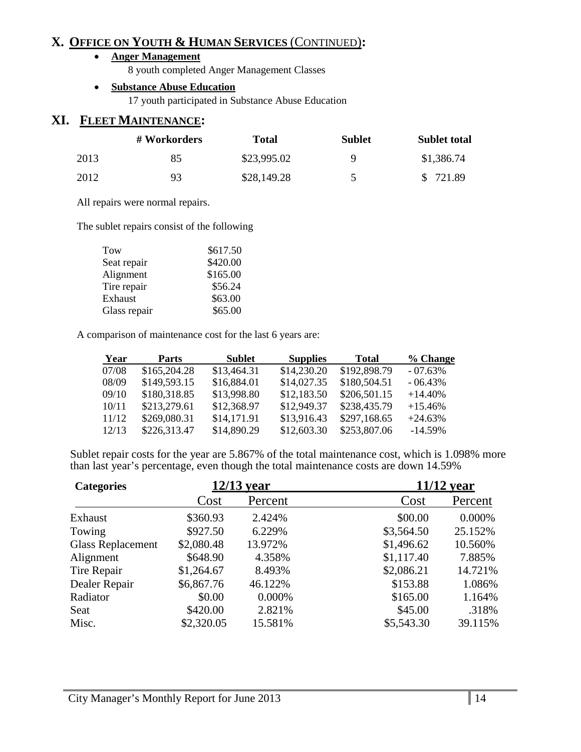## **X. OFFICE ON YOUTH & HUMAN SERVICES** (CONTINUED)**:**

#### • **Anger Management**

8 youth completed Anger Management Classes

#### • **Substance Abuse Education**

17 youth participated in Substance Abuse Education

#### **XI. FLEET MAINTENANCE:**

|      | # Workorders | Total       | <b>Sublet</b> | <b>Sublet total</b> |
|------|--------------|-------------|---------------|---------------------|
| 2013 | 85           | \$23,995.02 | Q             | \$1,386.74          |
| 2012 | 93           | \$28,149.28 | 5             | \$721.89            |

All repairs were normal repairs.

The sublet repairs consist of the following

| Tow          | \$617.50 |
|--------------|----------|
| Seat repair  | \$420.00 |
| Alignment    | \$165.00 |
| Tire repair  | \$56.24  |
| Exhaust      | \$63.00  |
| Glass repair | \$65.00  |

A comparison of maintenance cost for the last 6 years are:

| Year  | <b>Parts</b> | Sublet      | <b>Supplies</b> | <b>Total</b> | % Change   |
|-------|--------------|-------------|-----------------|--------------|------------|
| 07/08 | \$165,204.28 | \$13,464.31 | \$14,230.20     | \$192,898.79 | $-07.63%$  |
| 08/09 | \$149,593.15 | \$16,884.01 | \$14,027.35     | \$180,504.51 | $-06.43\%$ |
| 09/10 | \$180,318.85 | \$13,998.80 | \$12,183.50     | \$206,501.15 | $+14.40\%$ |
| 10/11 | \$213,279.61 | \$12,368.97 | \$12,949.37     | \$238,435.79 | $+15.46%$  |
| 11/12 | \$269,080.31 | \$14,171.91 | \$13,916.43     | \$297,168.65 | $+24.63%$  |
| 12/13 | \$226,313.47 | \$14,890.29 | \$12,603.30     | \$253,807.06 | $-14.59\%$ |

Sublet repair costs for the year are 5.867% of the total maintenance cost, which is 1.098% more than last year's percentage, even though the total maintenance costs are down 14.59%

| <b>Categories</b>        | 12/13 year |         | 11/12 year |         |
|--------------------------|------------|---------|------------|---------|
|                          | Cost       | Percent | Cost       | Percent |
| Exhaust                  | \$360.93   | 2.424%  | \$00.00    | 0.000%  |
| Towing                   | \$927.50   | 6.229%  | \$3,564.50 | 25.152% |
| <b>Glass Replacement</b> | \$2,080.48 | 13.972% | \$1,496.62 | 10.560% |
| Alignment                | \$648.90   | 4.358%  | \$1,117.40 | 7.885%  |
| Tire Repair              | \$1,264.67 | 8.493%  | \$2,086.21 | 14.721% |
| Dealer Repair            | \$6,867.76 | 46.122% | \$153.88   | 1.086%  |
| Radiator                 | \$0.00     | 0.000%  | \$165.00   | 1.164%  |
| Seat                     | \$420.00   | 2.821%  | \$45.00    | .318%   |
| Misc.                    | \$2,320.05 | 15.581% | \$5,543.30 | 39.115% |